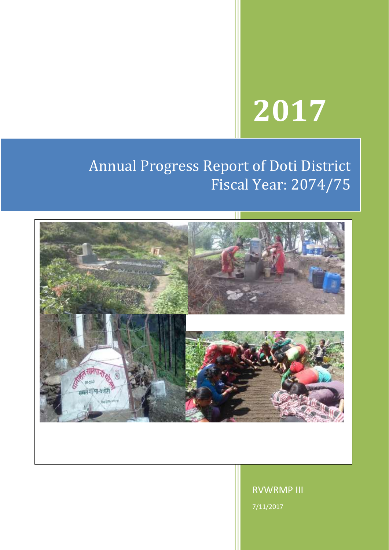# **2017**

## Annual Progress Report of Doti District Fiscal Year: 2074/75



RVWRMP III 7/11/2017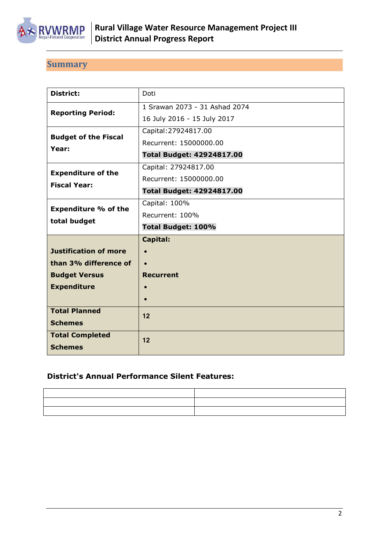

## <span id="page-1-0"></span>**Summary**

| District:                                                                                           | Doti                                                                               |  |  |
|-----------------------------------------------------------------------------------------------------|------------------------------------------------------------------------------------|--|--|
| <b>Reporting Period:</b>                                                                            | 1 Srawan 2073 - 31 Ashad 2074<br>16 July 2016 - 15 July 2017                       |  |  |
| <b>Budget of the Fiscal</b><br>Year:                                                                | Capital: 27924817.00<br>Recurrent: 15000000.00<br><b>Total Budget: 42924817.00</b> |  |  |
| <b>Expenditure of the</b><br><b>Fiscal Year:</b>                                                    | Capital: 27924817.00<br>Recurrent: 15000000.00<br><b>Total Budget: 42924817.00</b> |  |  |
| <b>Expenditure % of the</b><br>total budget                                                         | Capital: 100%<br>Recurrent: 100%<br><b>Total Budget: 100%</b>                      |  |  |
| <b>Justification of more</b><br>than 3% difference of<br><b>Budget Versus</b><br><b>Expenditure</b> | <b>Capital:</b><br><b>Recurrent</b>                                                |  |  |
| <b>Total Planned</b><br><b>Schemes</b><br><b>Total Completed</b>                                    | 12                                                                                 |  |  |

### **District's Annual Performance Silent Features:**

| the contract of the contract of the contract of the contract of the contract of the contract of the contract of<br><u> 2000 - 2000 - 2000 - 2000 - 2000 - 2000 - 2000 - 2000 - 2000 - 2000 - 2000 - 2000 - 2000 - 2000 - 2000 - 200</u> |  |
|-----------------------------------------------------------------------------------------------------------------------------------------------------------------------------------------------------------------------------------------|--|
|                                                                                                                                                                                                                                         |  |
| the contract of the contract of the contract of the contract of the contract of                                                                                                                                                         |  |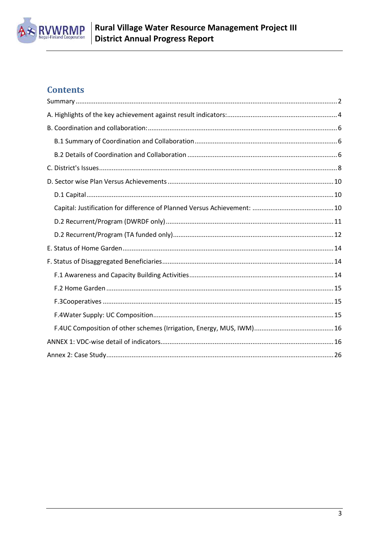

## **Contents**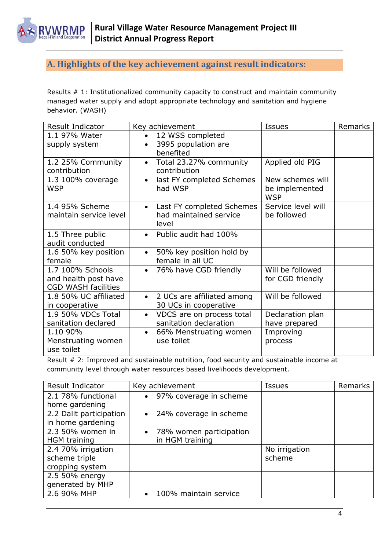

## <span id="page-3-0"></span>**A. Highlights of the key achievement against result indicators:**

Results # 1: Institutionalized community capacity to construct and maintain community managed water supply and adopt appropriate technology and sanitation and hygiene behavior. (WASH)

| Result Indicator           |           | Key achievement            | Issues                       | Remarks |
|----------------------------|-----------|----------------------------|------------------------------|---------|
| 1.1 97% Water              | $\bullet$ | 12 WSS completed           |                              |         |
| supply system              |           | 3995 population are        |                              |         |
|                            |           | benefited                  |                              |         |
| 1.2 25% Community          | $\bullet$ | Total 23.27% community     | Applied old PIG              |         |
| contribution               |           | contribution               |                              |         |
| 1.3 100% coverage          | $\bullet$ | last FY completed Schemes  | New schemes will             |         |
| <b>WSP</b>                 |           | had WSP                    | be implemented<br><b>WSP</b> |         |
| 1.4 95% Scheme             |           | Last FY completed Schemes  | Service level will           |         |
| maintain service level     |           | had maintained service     | be followed                  |         |
|                            |           | level                      |                              |         |
| 1.5 Three public           | $\bullet$ | Public audit had 100%      |                              |         |
| audit conducted            |           |                            |                              |         |
| 1.6 50% key position       | $\bullet$ | 50% key position hold by   |                              |         |
| female                     |           | female in all UC           |                              |         |
| 1.7 100% Schools           | $\bullet$ | 76% have CGD friendly      | Will be followed             |         |
| and health post have       |           |                            | for CGD friendly             |         |
| <b>CGD WASH facilities</b> |           |                            |                              |         |
| 1.8 50% UC affiliated      | $\bullet$ | 2 UCs are affiliated among | Will be followed             |         |
| in cooperative             |           | 30 UCs in cooperative      |                              |         |
| 1.9 50% VDCs Total         |           | VDCS are on process total  | Declaration plan             |         |
| sanitation declared        |           | sanitation declaration     | have prepared                |         |
| 1.10 90%                   | $\bullet$ | 66% Menstruating women     | Improving                    |         |
| Menstruating women         |           | use toilet                 | process                      |         |
| use toilet                 |           |                            |                              |         |

Result # 2: Improved and sustainable nutrition, food security and sustainable income at community level through water resources based livelihoods development.

| <b>Result Indicator</b> | Key achievement           | <b>Issues</b> | Remarks |
|-------------------------|---------------------------|---------------|---------|
| 2.1 78% functional      | • 97% coverage in scheme  |               |         |
| home gardening          |                           |               |         |
| 2.2 Dalit participation | • 24% coverage in scheme  |               |         |
| in home gardening       |                           |               |         |
| 2.3 50% women in        | • 78% women participation |               |         |
| <b>HGM</b> training     | in HGM training           |               |         |
| 2.4 70% irrigation      |                           | No irrigation |         |
| scheme triple           |                           | scheme        |         |
| cropping system         |                           |               |         |
| 2.5 50% energy          |                           |               |         |
| generated by MHP        |                           |               |         |
| 2.6 90% MHP             | 100% maintain service     |               |         |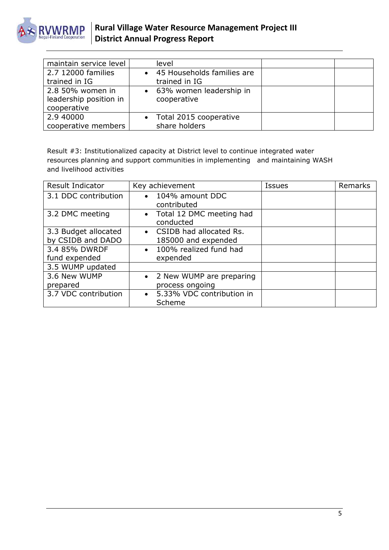

| maintain service level | level                        |  |
|------------------------|------------------------------|--|
| 2.7 12000 families     | • 45 Households families are |  |
| trained in IG          | trained in IG                |  |
| 2.8 50% women in       | • 63% women leadership in    |  |
| leadership position in | cooperative                  |  |
| cooperative            |                              |  |
| 2.9 40000              | • Total 2015 cooperative     |  |
| cooperative members    | share holders                |  |

Result #3: Institutionalized capacity at District level to continue integrated water resources planning and support communities in implementing and maintaining WASH and livelihood activities

| <b>Result Indicator</b> | Key achievement                        | <b>Issues</b> | Remarks |
|-------------------------|----------------------------------------|---------------|---------|
| 3.1 DDC contribution    | 104% amount DDC<br>$\bullet$           |               |         |
|                         | contributed                            |               |         |
| 3.2 DMC meeting         | • Total 12 DMC meeting had             |               |         |
|                         | conducted                              |               |         |
| 3.3 Budget allocated    | • CSIDB had allocated Rs.              |               |         |
| by CSIDB and DADO       | 185000 and expended                    |               |         |
| 3.4 85% DWRDF           | • 100% realized fund had               |               |         |
| fund expended           | expended                               |               |         |
| 3.5 WUMP updated        |                                        |               |         |
| 3.6 New WUMP            | • 2 New WUMP are preparing             |               |         |
| prepared                | process ongoing                        |               |         |
| 3.7 VDC contribution    | 5.33% VDC contribution in<br>$\bullet$ |               |         |
|                         | Scheme                                 |               |         |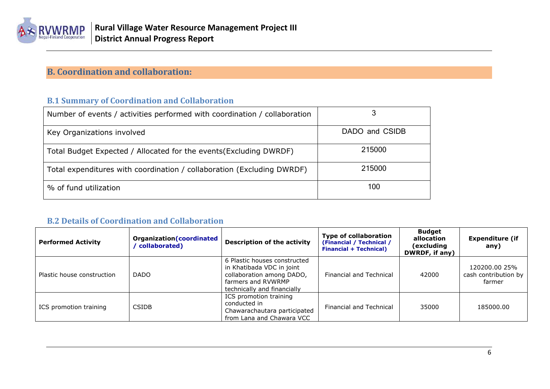

## **B. Coordination and collaboration:**

## **B.1 Summary of Coordination and Collaboration**

| Number of events / activities performed with coordination / collaboration | 3              |
|---------------------------------------------------------------------------|----------------|
| Key Organizations involved                                                | DADO and CSIDB |
| Total Budget Expected / Allocated for the events (Excluding DWRDF)        | 215000         |
| Total expenditures with coordination / collaboration (Excluding DWRDF)    | 215000         |
| % of fund utilization                                                     | 100            |

## <span id="page-5-0"></span>**B.2 Details of Coordination and Collaboration**

<span id="page-5-2"></span><span id="page-5-1"></span>

| <b>Performed Activity</b>  | <b>Organization (coordinated</b><br>collaborated) | <b>Description of the activity</b>                                                                                                          | Type of collaboration<br>(Financial / Technical /<br><b>Financial + Technical)</b> | <b>Budget</b><br>allocation<br>(excluding<br>DWRDF, if any) | <b>Expenditure (if</b><br>any)                  |
|----------------------------|---------------------------------------------------|---------------------------------------------------------------------------------------------------------------------------------------------|------------------------------------------------------------------------------------|-------------------------------------------------------------|-------------------------------------------------|
| Plastic house construction | <b>DADO</b>                                       | 6 Plastic houses constructed<br>in Khatibada VDC in joint<br>collaboration among DADO,<br>farmers and RVWRMP<br>technically and financially | <b>Financial and Technical</b>                                                     | 42000                                                       | 120200.00 25%<br>cash contribution by<br>farmer |
| ICS promotion training     | <b>CSIDB</b>                                      | ICS promotion training<br>conducted in<br>Chawarachautara participated<br>from Lana and Chawara VCC                                         | <b>Financial and Technical</b>                                                     | 35000                                                       | 185000.00                                       |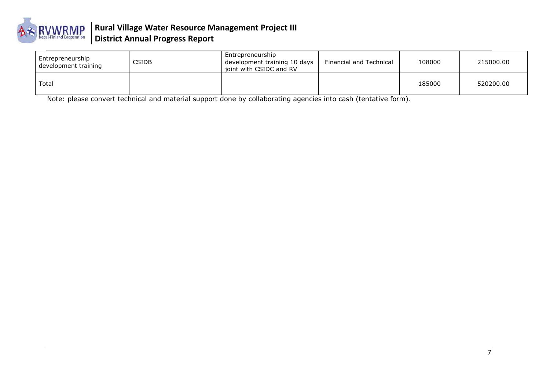

## **Rural Village Water Resource Management Project III District Annual Progress Report**

| Entrepreneurship<br>development training | <b>CSIDB</b> | Entrepreneurship<br>development training 10 days<br>joint with CSIDC and RV | <b>Financial and Technical</b> | 108000 | 215000.00 |
|------------------------------------------|--------------|-----------------------------------------------------------------------------|--------------------------------|--------|-----------|
| Total                                    |              |                                                                             |                                | 185000 | 520200.00 |

Note: please convert technical and material support done by collaborating agencies into cash (tentative form).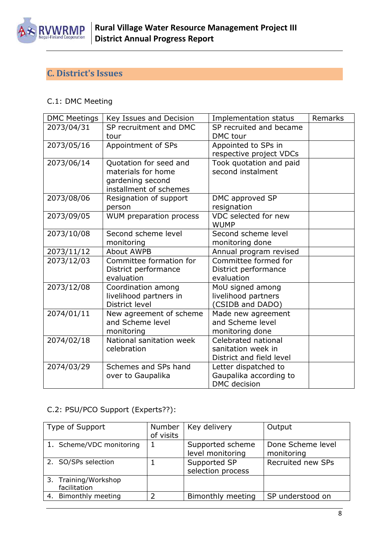

## <span id="page-7-0"></span>**C. District's Issues**

#### C.1: DMC Meeting

| <b>DMC Meetings</b> | Key Issues and Decision  | Implementation status    | Remarks |
|---------------------|--------------------------|--------------------------|---------|
| 2073/04/31          | SP recruitment and DMC   | SP recruited and became  |         |
|                     | tour                     | DMC tour                 |         |
| 2073/05/16          | Appointment of SPs       | Appointed to SPs in      |         |
|                     |                          | respective project VDCs  |         |
| 2073/06/14          | Quotation for seed and   | Took quotation and paid  |         |
|                     | materials for home       | second instalment        |         |
|                     | gardening second         |                          |         |
|                     | installment of schemes   |                          |         |
| 2073/08/06          | Resignation of support   | DMC approved SP          |         |
|                     | person                   | resignation              |         |
| 2073/09/05          | WUM preparation process  | VDC selected for new     |         |
|                     |                          | <b>WUMP</b>              |         |
| 2073/10/08          | Second scheme level      | Second scheme level      |         |
|                     | monitoring               | monitoring done          |         |
| 2073/11/12          | About AWPB               | Annual program revised   |         |
| 2073/12/03          | Committee formation for  | Committee formed for     |         |
|                     | District performance     | District performance     |         |
|                     | evaluation               | evaluation               |         |
| 2073/12/08          | Coordination among       | MoU signed among         |         |
|                     | livelihood partners in   | livelihood partners      |         |
|                     | District level           | (CSIDB and DADO)         |         |
| 2074/01/11          | New agreement of scheme  | Made new agreement       |         |
|                     | and Scheme level         | and Scheme level         |         |
|                     | monitoring               | monitoring done          |         |
| 2074/02/18          | National sanitation week | Celebrated national      |         |
|                     | celebration              | sanitation week in       |         |
|                     |                          | District and field level |         |
| 2074/03/29          | Schemes and SPs hand     | Letter dispatched to     |         |
|                     | over to Gaupalika        | Gaupalika according to   |         |
|                     |                          | DMC decision             |         |

## C.2: PSU/PCO Support (Experts??):

| Type of Support                      | Number<br>of visits | Key delivery                         | Output                          |
|--------------------------------------|---------------------|--------------------------------------|---------------------------------|
| 1. Scheme/VDC monitoring             |                     | Supported scheme<br>level monitoring | Done Scheme level<br>monitoring |
| 2. SO/SPs selection                  |                     | Supported SP<br>selection process    | <b>Recruited new SPs</b>        |
| 3. Training/Workshop<br>facilitation |                     |                                      |                                 |
| 4. Bimonthly meeting                 | っ                   | Bimonthly meeting                    | SP understood on                |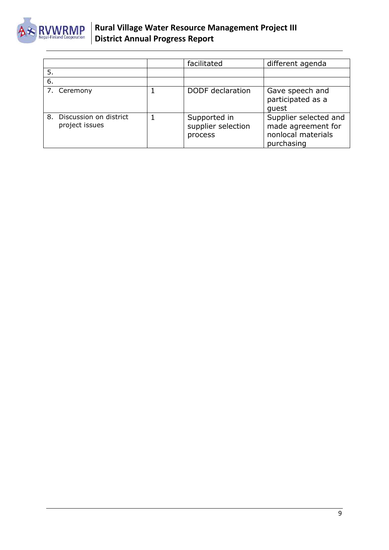

## **Rural Village Water Resource Management Project III District Annual Progress Report**

|                                             | facilitated                                   | different agenda                                                                |
|---------------------------------------------|-----------------------------------------------|---------------------------------------------------------------------------------|
| 5.                                          |                                               |                                                                                 |
| 6.                                          |                                               |                                                                                 |
| 7. Ceremony                                 | DODF declaration                              | Gave speech and<br>participated as a<br>quest                                   |
| 8. Discussion on district<br>project issues | Supported in<br>supplier selection<br>process | Supplier selected and<br>made agreement for<br>nonlocal materials<br>purchasing |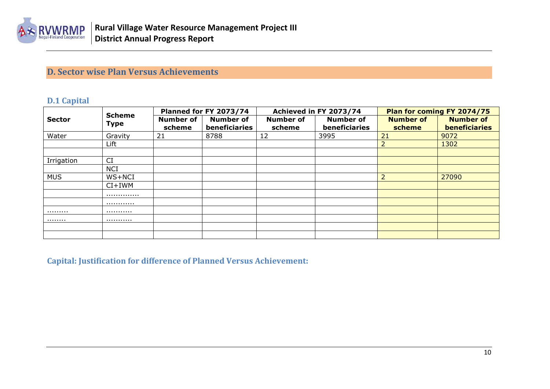

## **D. Sector wise Plan Versus Achievements**

#### **D.1 Capital**

|               | <b>Scheme</b> |                            | Planned for FY 2073/74            |                            | Achieved in FY 2073/74            | Plan for coming FY 2074/75 |                                   |
|---------------|---------------|----------------------------|-----------------------------------|----------------------------|-----------------------------------|----------------------------|-----------------------------------|
| <b>Sector</b> | <b>Type</b>   | <b>Number of</b><br>scheme | <b>Number of</b><br>beneficiaries | <b>Number of</b><br>scheme | <b>Number of</b><br>beneficiaries | <b>Number of</b><br>scheme | <b>Number of</b><br>beneficiaries |
| Water         | Gravity       | 21                         | 8788                              | 12                         | 3995                              | 21                         | 9072                              |
|               | Lift          |                            |                                   |                            |                                   | $\overline{2}$             | 1302                              |
|               |               |                            |                                   |                            |                                   |                            |                                   |
| Irrigation    | CI            |                            |                                   |                            |                                   |                            |                                   |
|               | <b>NCI</b>    |                            |                                   |                            |                                   |                            |                                   |
| <b>MUS</b>    | WS+NCI        |                            |                                   |                            |                                   | $\overline{2}$             | 27090                             |
|               | $CI+IWM$      |                            |                                   |                            |                                   |                            |                                   |
|               |               |                            |                                   |                            |                                   |                            |                                   |
|               |               |                            |                                   |                            |                                   |                            |                                   |
| .             |               |                            |                                   |                            |                                   |                            |                                   |
|               |               |                            |                                   |                            |                                   |                            |                                   |
|               |               |                            |                                   |                            |                                   |                            |                                   |
|               |               |                            |                                   |                            |                                   |                            |                                   |

<span id="page-9-2"></span><span id="page-9-1"></span><span id="page-9-0"></span>**Capital: Justification for difference of Planned Versus Achievement:**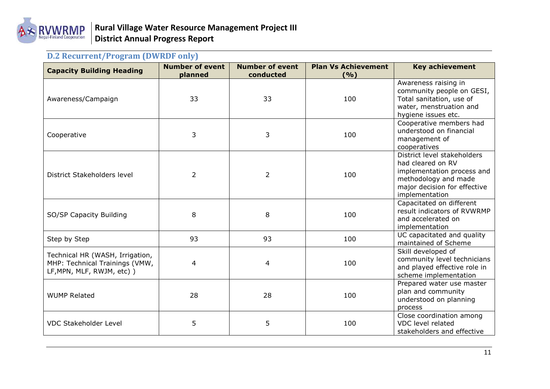

## **D.2 Recurrent/Program (DWRDF only)**

<span id="page-10-0"></span>

| <b>Capacity Building Heading</b>                                                               | <b>Number of event</b><br>planned | <b>Number of event</b><br>conducted | <b>Plan Vs Achievement</b><br>(9/0) | <b>Key achievement</b>                                                                                                                                   |
|------------------------------------------------------------------------------------------------|-----------------------------------|-------------------------------------|-------------------------------------|----------------------------------------------------------------------------------------------------------------------------------------------------------|
| Awareness/Campaign                                                                             | 33                                | 33                                  | 100                                 | Awareness raising in<br>community people on GESI,<br>Total sanitation, use of<br>water, menstruation and<br>hygiene issues etc.                          |
| Cooperative                                                                                    | 3                                 | 3                                   | 100                                 | Cooperative members had<br>understood on financial<br>management of<br>cooperatives                                                                      |
| District Stakeholders level                                                                    | $\overline{2}$                    | $\overline{2}$                      | 100                                 | District level stakeholders<br>had cleared on RV<br>implementation process and<br>methodology and made<br>major decision for effective<br>implementation |
| SO/SP Capacity Building                                                                        | 8                                 | 8                                   | 100                                 | Capacitated on different<br>result indicators of RVWRMP<br>and accelerated on<br>implementation                                                          |
| Step by Step                                                                                   | 93                                | 93                                  | 100                                 | UC capacitated and quality<br>maintained of Scheme                                                                                                       |
| Technical HR (WASH, Irrigation,<br>MHP: Technical Trainings (VMW,<br>LF, MPN, MLF, RWJM, etc)) | 4                                 | 4                                   | 100                                 | Skill developed of<br>community level technicians<br>and played effective role in<br>scheme implementation                                               |
| <b>WUMP Related</b>                                                                            | 28                                | 28                                  | 100                                 | Prepared water use master<br>plan and community<br>understood on planning<br>process                                                                     |
| <b>VDC Stakeholder Level</b>                                                                   | 5                                 | 5                                   | 100                                 | Close coordination among<br><b>VDC</b> level related<br>stakeholders and effective                                                                       |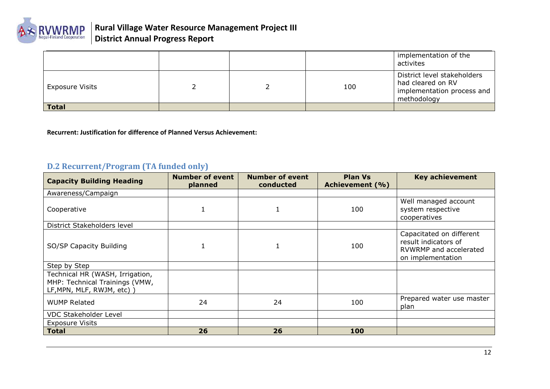

|                        |  |     | implementation of the<br>activites                                                            |
|------------------------|--|-----|-----------------------------------------------------------------------------------------------|
| <b>Exposure Visits</b> |  | 100 | District level stakeholders<br>had cleared on RV<br>implementation process and<br>methodology |
| <b>Total</b>           |  |     |                                                                                               |

**Recurrent: Justification for difference of Planned Versus Achievement:**

## **D.2 Recurrent/Program (TA funded only)**

<span id="page-11-0"></span>

| <b>Capacity Building Heading</b>                                                               | <b>Number of event</b><br>planned | <b>Number of event</b><br>conducted | <b>Plan Vs</b><br>Achievement (%) | <b>Key achievement</b>                                                                          |
|------------------------------------------------------------------------------------------------|-----------------------------------|-------------------------------------|-----------------------------------|-------------------------------------------------------------------------------------------------|
| Awareness/Campaign                                                                             |                                   |                                     |                                   |                                                                                                 |
| Cooperative                                                                                    | 1                                 |                                     | 100                               | Well managed account<br>system respective<br>cooperatives                                       |
| District Stakeholders level                                                                    |                                   |                                     |                                   |                                                                                                 |
| SO/SP Capacity Building                                                                        | 1                                 | 1                                   | 100                               | Capacitated on different<br>result indicators of<br>RVWRMP and accelerated<br>on implementation |
| Step by Step                                                                                   |                                   |                                     |                                   |                                                                                                 |
| Technical HR (WASH, Irrigation,<br>MHP: Technical Trainings (VMW,<br>LF, MPN, MLF, RWJM, etc)) |                                   |                                     |                                   |                                                                                                 |
| <b>WUMP Related</b>                                                                            | 24                                | 24                                  | 100                               | Prepared water use master<br>plan                                                               |
| <b>VDC Stakeholder Level</b>                                                                   |                                   |                                     |                                   |                                                                                                 |
| <b>Exposure Visits</b>                                                                         |                                   |                                     |                                   |                                                                                                 |
| <b>Total</b>                                                                                   | 26                                | 26                                  | <b>100</b>                        |                                                                                                 |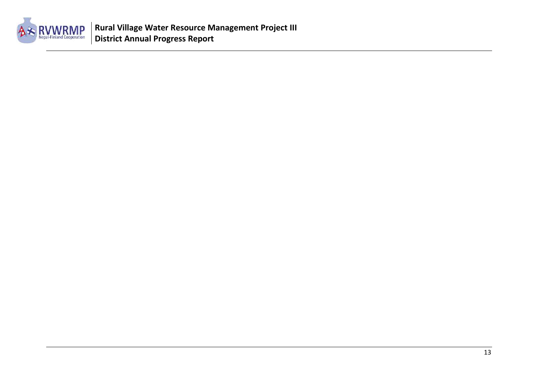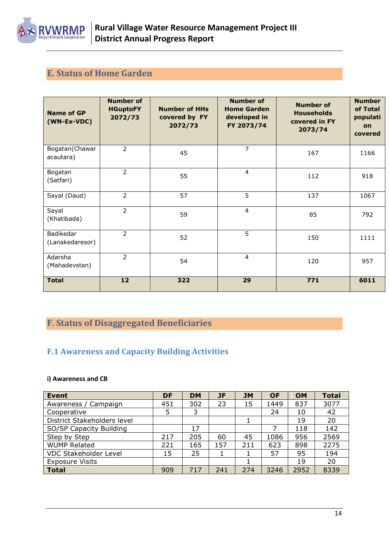

## <span id="page-13-0"></span>**E. Status of Home Garden**

| Name of GP<br>(WN-Ex-VDC)           | <b>Number of</b><br><b>HGuptoFY</b><br>2072/73 | <b>Number of</b><br><b>Number of HHs</b><br><b>Home Garden</b><br>covered by FY<br>developed in<br>FY 2073/74<br>2072/73 |                | <b>Number of</b><br><b>Households</b><br>covered in FY<br>2073/74 | <b>Number</b><br>of Total<br>populati<br>on<br>covered |
|-------------------------------------|------------------------------------------------|--------------------------------------------------------------------------------------------------------------------------|----------------|-------------------------------------------------------------------|--------------------------------------------------------|
| Bogatan (Chawar<br>acautara)        | $\overline{2}$                                 | 45                                                                                                                       | $\overline{7}$ | 167                                                               | 1166                                                   |
| Bogatan<br>(Satfari)                | $\overline{2}$                                 | 55                                                                                                                       | $\overline{4}$ | 112                                                               | 918                                                    |
| Sayal (Daud)                        | $\overline{2}$                                 | 57                                                                                                                       | 5              | 137                                                               | 1067                                                   |
| Sayal<br>(Khatibada)                | $\overline{2}$                                 | 59                                                                                                                       | $\overline{4}$ | 85                                                                | 792                                                    |
| <b>Badikedar</b><br>(Lanakedaresor) | $\overline{2}$                                 | 52                                                                                                                       | $\overline{5}$ | 150                                                               | 1111                                                   |
| Adarsha<br>(Mahadevstan)            | $\overline{2}$                                 | 54                                                                                                                       | $\overline{4}$ | 120                                                               | 957                                                    |
| <b>Total</b>                        | 12                                             | 322                                                                                                                      | 29             | 771                                                               | 6011                                                   |

## <span id="page-13-1"></span>**F. Status of Disaggregated Beneficiaries**

## <span id="page-13-2"></span>**F.1 Awareness and Capacity Building Activities**

#### **i) Awareness and CB**

| <b>Event</b>                 | <b>DF</b> | <b>DM</b> | <b>JF</b> | <b>JM</b> | <b>OF</b> | <b>OM</b> | <b>Total</b> |
|------------------------------|-----------|-----------|-----------|-----------|-----------|-----------|--------------|
| Awareness / Campaign         | 451       | 302       | 23        | 15        | 1449      | 837       | 3077         |
| Cooperative                  | 5         | 3         |           |           | 24        | 10        | 42           |
| District Stakeholders level  |           |           |           |           |           | 19        | 20           |
| SO/SP Capacity Building      |           | 17        |           |           |           | 118       | 142          |
| Step by Step                 | 217       | 205       | 60        | 45        | 1086      | 956       | 2569         |
| <b>WUMP Related</b>          | 221       | 165       | 157       | 211       | 623       | 898       | 2275         |
| <b>VDC Stakeholder Level</b> | 15        | 25        |           |           | 57        | 95        | 194          |
| <b>Exposure Visits</b>       |           |           |           |           |           | 19        | 20           |
| <b>Total</b>                 | 909       | 717       | 241       | 274       | 3246      | 2952      | 8339         |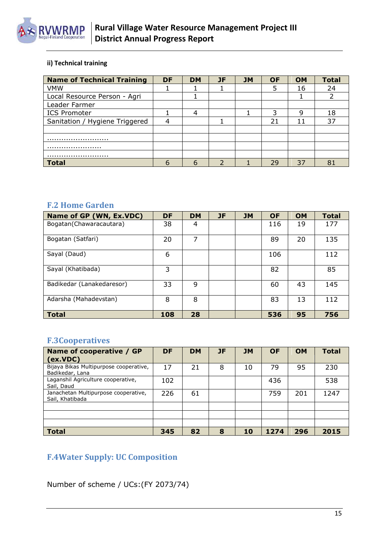

## **ii) Technical training**

| <b>Name of Technical Training</b> | <b>DF</b> | <b>DM</b> | JF | <b>JM</b> | <b>OF</b> | <b>OM</b> | <b>Total</b> |
|-----------------------------------|-----------|-----------|----|-----------|-----------|-----------|--------------|
| <b>VMW</b>                        |           |           |    |           | 5         | 16        | 24           |
| Local Resource Person - Agri      |           |           |    |           |           |           |              |
| Leader Farmer                     |           |           |    |           |           |           |              |
| <b>ICS Promoter</b>               |           | 4         |    |           | 3         | q         | 18           |
| Sanitation / Hygiene Triggered    | 4         |           |    |           | 21        |           | 37           |
|                                   |           |           |    |           |           |           |              |
|                                   |           |           |    |           |           |           |              |
|                                   |           |           |    |           |           |           |              |
|                                   |           |           |    |           |           |           |              |
| <b>Total</b>                      | 6         | n         |    |           | 79        | 37        | 81           |

### <span id="page-14-0"></span>**F.2 Home Garden**

| Name of GP (WN, Ex.VDC)   | <b>DF</b> | <b>DM</b> | <b>JF</b> | <b>JM</b> | <b>OF</b> | <b>OM</b> | <b>Total</b> |
|---------------------------|-----------|-----------|-----------|-----------|-----------|-----------|--------------|
| Bogatan(Chawaracautara)   | 38        | 4         |           |           | 116       | 19        | 177          |
| Bogatan (Satfari)         | 20        | 7         |           |           | 89        | 20        | 135          |
| Sayal (Daud)              | 6         |           |           |           | 106       |           | 112          |
| Sayal (Khatibada)         | 3         |           |           |           | 82        |           | 85           |
| Badikedar (Lanakedaresor) | 33        | 9         |           |           | 60        | 43        | 145          |
| Adarsha (Mahadevstan)     | 8         | 8         |           |           | 83        | 13        | 112          |
| <b>Total</b>              | 108       | 28        |           |           | 536       | 95        | 756          |

### <span id="page-14-1"></span>**F.3Cooperatives**

| Name of cooperative / GP<br>(ex.VDC)                      | <b>DF</b> | <b>DM</b> | <b>JF</b> | <b>JM</b> | <b>OF</b> | <b>OM</b> | <b>Total</b> |
|-----------------------------------------------------------|-----------|-----------|-----------|-----------|-----------|-----------|--------------|
| Bijaya Bikas Multipurpose cooperative,<br>Badikedar, Lana | 17        | 21        | 8         | 10        | 79        | 95        | 230          |
| Laganshil Agriculture cooperative,<br>Sail, Daud          | 102       |           |           |           | 436       |           | 538          |
| Janachetan Multipurpose cooperative,<br>Sail, Khatibada   | 226       | 61        |           |           | 759       | 201       | 1247         |
|                                                           |           |           |           |           |           |           |              |
|                                                           |           |           |           |           |           |           |              |
|                                                           |           |           |           |           |           |           |              |
| <b>Total</b>                                              | 345       | 82        | 8         | 10        | 1274      | 296       | 2015         |

## <span id="page-14-2"></span>**F.4Water Supply: UC Composition**

Number of scheme / UCs:(FY 2073/74)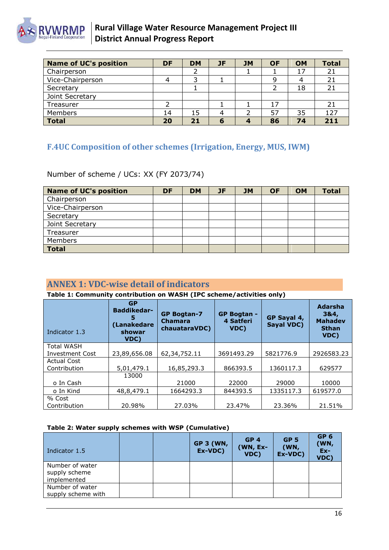

| <b>Name of UC's position</b> | DF | <b>DM</b> | <b>JF</b> | <b>JM</b> | <b>OF</b> | <b>OM</b> | <b>Total</b> |
|------------------------------|----|-----------|-----------|-----------|-----------|-----------|--------------|
| Chairperson                  |    |           |           |           |           |           | 21           |
| Vice-Chairperson             |    |           |           |           | q         |           | 21           |
| Secretary                    |    |           |           |           |           | 18        | 21           |
| Joint Secretary              |    |           |           |           |           |           |              |
| Treasurer                    |    |           |           |           | 17        |           | 21           |
| Members                      | 14 |           |           |           | 57        | 35        | 127          |
| <b>Total</b>                 | 20 | 21        | b         |           | 86        | 74        | 211          |

## <span id="page-15-0"></span>**F.4UC Composition of other schemes (Irrigation, Energy, MUS, IWM)**

Number of scheme / UCs: XX (FY 2073/74)

| <b>Name of UC's position</b> | <b>DF</b> | <b>DM</b> | JF | <b>JM</b> | <b>OF</b> | <b>OM</b> | <b>Total</b> |
|------------------------------|-----------|-----------|----|-----------|-----------|-----------|--------------|
| Chairperson                  |           |           |    |           |           |           |              |
| Vice-Chairperson             |           |           |    |           |           |           |              |
| Secretary                    |           |           |    |           |           |           |              |
| Joint Secretary              |           |           |    |           |           |           |              |
| Treasurer                    |           |           |    |           |           |           |              |
| <b>Members</b>               |           |           |    |           |           |           |              |
| <b>Total</b>                 |           |           |    |           |           |           |              |

## <span id="page-15-1"></span>**ANNEX 1: VDC-wise detail of indicators**

#### **Table 1: Community contribution on WASH (IPC scheme/activities only)**

| Indicator 1.3          | <b>GP</b><br><b>Baddikedar-</b><br>5<br>(Lanakedare<br>showar<br>VDC) | <b>GP Bogtan-7</b><br><b>Chamara</b><br>chauataraVDC) | <b>GP Bogtan -</b><br>4 Satferi<br>VDC) | GP Sayal 4,<br><b>Sayal VDC)</b> | <b>Adarsha</b><br>3&4,<br><b>Mahadev</b><br><b>Sthan</b><br>VDC) |
|------------------------|-----------------------------------------------------------------------|-------------------------------------------------------|-----------------------------------------|----------------------------------|------------------------------------------------------------------|
| <b>Total WASH</b>      |                                                                       |                                                       |                                         |                                  |                                                                  |
| <b>Investment Cost</b> | 23,89,656.08                                                          | 62,34,752.11                                          | 3691493.29                              | 5821776.9                        | 2926583.23                                                       |
| <b>Actual Cost</b>     |                                                                       |                                                       |                                         |                                  |                                                                  |
| Contribution           | 5,01,479.1                                                            | 16,85,293,3                                           | 866393.5                                | 1360117.3                        | 629577                                                           |
|                        | 13000                                                                 |                                                       |                                         |                                  |                                                                  |
| o In Cash              |                                                                       | 21000                                                 | 22000                                   | 29000                            | 10000                                                            |
| o In Kind              | 48,8,479.1                                                            | 1664293.3                                             | 844393.5                                | 1335117.3                        | 619577.0                                                         |
| % Cost                 |                                                                       |                                                       |                                         |                                  |                                                                  |
| Contribution           | 20.98%                                                                | 27.03%                                                | 23.47%                                  | 23.36%                           | 21.51%                                                           |

#### **Table 2: Water supply schemes with WSP (Cumulative)**

| Indicator 1.5                                   |  | <b>GP 3 (WN,</b><br>Ex-VDC) | GP <sub>4</sub><br>$(WN, Ex-$<br>VDC) | GP <sub>5</sub><br>(WN,<br>Ex-VDC) | GP <sub>6</sub><br>(WN,<br>$Ex-$<br>VDC) |
|-------------------------------------------------|--|-----------------------------|---------------------------------------|------------------------------------|------------------------------------------|
| Number of water<br>supply scheme<br>implemented |  |                             |                                       |                                    |                                          |
| Number of water<br>supply scheme with           |  |                             |                                       |                                    |                                          |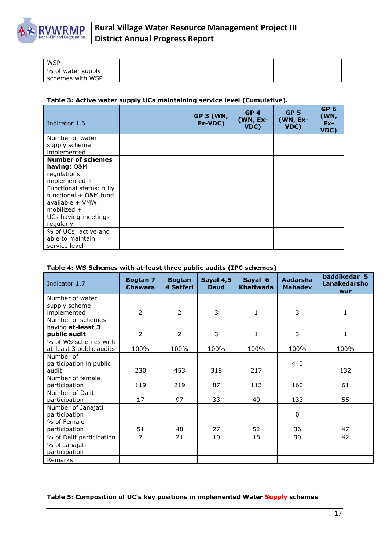

| WSP               |  |  |  |
|-------------------|--|--|--|
| % of water supply |  |  |  |
| schemes with WSP  |  |  |  |

#### **Table 3: Active water supply UCs maintaining service level (Cumulative).**

| Indicator 1.6                            |  | <b>GP 3 (WN,</b><br>Ex-VDC) | GP <sub>4</sub><br>$(WN, Ex-$<br>VDC) | GP <sub>5</sub><br>(WN, Ex-<br>VDC) | GP <sub>6</sub><br>(WN,<br>$Ex-$<br>VDC) |
|------------------------------------------|--|-----------------------------|---------------------------------------|-------------------------------------|------------------------------------------|
| Number of water                          |  |                             |                                       |                                     |                                          |
| supply scheme<br>implemented             |  |                             |                                       |                                     |                                          |
| <b>Number of schemes</b>                 |  |                             |                                       |                                     |                                          |
| having: O&M                              |  |                             |                                       |                                     |                                          |
| regulations                              |  |                             |                                       |                                     |                                          |
| implemented +                            |  |                             |                                       |                                     |                                          |
| Functional status: fully                 |  |                             |                                       |                                     |                                          |
| functional + O&M fund<br>available + VMW |  |                             |                                       |                                     |                                          |
| mobilized $+$                            |  |                             |                                       |                                     |                                          |
| UCs having meetings                      |  |                             |                                       |                                     |                                          |
| regularly                                |  |                             |                                       |                                     |                                          |
| % of UCs: active and                     |  |                             |                                       |                                     |                                          |
| able to maintain                         |  |                             |                                       |                                     |                                          |
| service level                            |  |                             |                                       |                                     |                                          |

#### **Table 4: WS Schemes with at-least three public audits (IPC schemes)**

| Indicator 1.7            | <b>Bogtan 7</b><br>Chawara | <b>Bogtan</b><br>4 Satferi | Sayal 4,5<br><b>Daud</b> | Sayal 6<br><b>Khatiwada</b> | Aadarsha<br><b>Mahadev</b> | baddikedar 5<br>Lanakedarsho<br>war |
|--------------------------|----------------------------|----------------------------|--------------------------|-----------------------------|----------------------------|-------------------------------------|
| Number of water          |                            |                            |                          |                             |                            |                                     |
| supply scheme            |                            |                            |                          |                             |                            |                                     |
| implemented              | $\overline{2}$             | $\overline{2}$             | 3                        | 1                           | 3                          | 1                                   |
| Number of schemes        |                            |                            |                          |                             |                            |                                     |
| having at-least 3        |                            |                            |                          |                             |                            |                                     |
| public audit             | $\overline{2}$             | $\overline{2}$             | 3                        | 1                           | 3                          | 1                                   |
| % of WS schemes with     |                            |                            |                          |                             |                            |                                     |
| at-least 3 public audits | 100%                       | 100%                       | 100%                     | 100%                        | 100%                       | 100%                                |
| Number of                |                            |                            |                          |                             |                            |                                     |
| participation in public  |                            |                            |                          |                             | 440                        |                                     |
| audit                    | 230                        | 453                        | 318                      | 217                         |                            | 132                                 |
| Number of female         |                            |                            |                          |                             |                            |                                     |
| participation            | 119                        | 219                        | 87                       | 113                         | 160                        | 61                                  |
| Number of Dalit          |                            |                            |                          |                             |                            |                                     |
| participation            | 17                         | 97                         | 33                       | 40                          | 133                        | 55                                  |
| Number of Janajati       |                            |                            |                          |                             |                            |                                     |
| participation            |                            |                            |                          |                             | 0                          |                                     |
| % of Female              |                            |                            |                          |                             |                            |                                     |
| participation            | 51                         | 48                         | 27                       | 52                          | 36                         | 47                                  |
| % of Dalit participation | 7                          | 21                         | 10                       | 18                          | 30                         | 42                                  |
| % of Janajati            |                            |                            |                          |                             |                            |                                     |
| participation            |                            |                            |                          |                             |                            |                                     |
| Remarks                  |                            |                            |                          |                             |                            |                                     |

#### **Table 5: Composition of UC's key positions in implemented Water Supply schemes**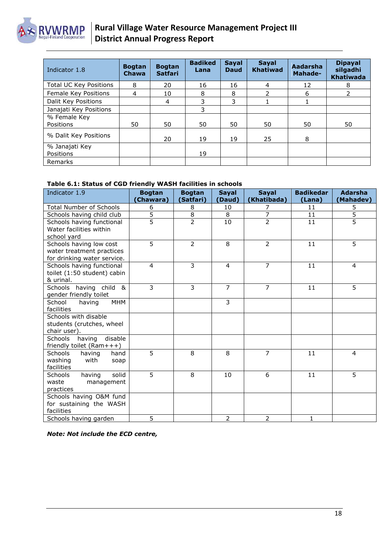

| Indicator 1.8               | <b>Bogtan</b><br>Chawa | <b>Bogtan</b><br><b>Satfari</b> | <b>Badiked</b><br>Lana | <b>Sayal</b><br><b>Daud</b> | <b>Sayal</b><br><b>Khatiwad</b> | Aadarsha<br><b>Mahade-</b> | <b>Dipayal</b><br>silgadhi<br><b>Khatiwada</b> |
|-----------------------------|------------------------|---------------------------------|------------------------|-----------------------------|---------------------------------|----------------------------|------------------------------------------------|
| Total UC Key Positions      | 8                      | 20                              | 16                     | 16                          | 4                               | 12                         | 8                                              |
| Female Key Positions        | 4                      | 10                              | 8                      | 8                           | $\mathcal{P}$                   | 6                          | 2                                              |
| Dalit Key Positions         |                        | 4                               | 3                      | 3                           |                                 |                            |                                                |
| Janajati Key Positions      |                        |                                 | 3                      |                             |                                 |                            |                                                |
| % Female Key<br>Positions   | 50                     | 50                              | 50                     | 50                          | 50                              | 50                         | 50                                             |
| % Dalit Key Positions       |                        | 20                              | 19                     | 19                          | 25                              | 8                          |                                                |
| % Janajati Key<br>Positions |                        |                                 | 19                     |                             |                                 |                            |                                                |
| Remarks                     |                        |                                 |                        |                             |                                 |                            |                                                |

#### **Table 6.1: Status of CGD friendly WASH facilities in schools**

| Indicator 1.9                    | <b>Bogtan</b>         | <b>Bogtan</b>  | <b>Sayal</b>   | <b>Sayal</b><br>(Khatibada) | <b>Badikedar</b> | <b>Adarsha</b> |
|----------------------------------|-----------------------|----------------|----------------|-----------------------------|------------------|----------------|
| <b>Total Number of Schools</b>   | <b>Chawara</b> )<br>6 | (Satfari)<br>8 | (Daud)<br>10   | 7                           | (Lana)<br>11     | (Mahadev)<br>5 |
| Schools having child club        | $\overline{5}$        | 8              | 8              | $\overline{7}$              | 11               | $\overline{5}$ |
| Schools having functional        | $\overline{5}$        | $\overline{2}$ | 10             | $\overline{2}$              | 11               | $\overline{5}$ |
| Water facilities within          |                       |                |                |                             |                  |                |
| school yard                      |                       |                |                |                             |                  |                |
| Schools having low cost          | $\overline{5}$        | $\overline{2}$ | 8              | $\overline{2}$              | 11               | $\overline{5}$ |
| water treatment practices        |                       |                |                |                             |                  |                |
| for drinking water service.      |                       |                |                |                             |                  |                |
| Schools having functional        | $\overline{4}$        | 3              | 4              | $\overline{7}$              | 11               | $\overline{4}$ |
| toilet (1:50 student) cabin      |                       |                |                |                             |                  |                |
| & urinal.                        |                       |                |                |                             |                  |                |
| Schools having child &           | 3                     | $\overline{3}$ | $\overline{7}$ | $\overline{7}$              | 11               | 5              |
| gender friendly toilet           |                       |                |                |                             |                  |                |
| School<br>MHM<br>having          |                       |                | 3              |                             |                  |                |
| facilities                       |                       |                |                |                             |                  |                |
| Schools with disable             |                       |                |                |                             |                  |                |
| students (crutches, wheel        |                       |                |                |                             |                  |                |
| chair user).                     |                       |                |                |                             |                  |                |
| disable<br>Schools<br>having     |                       |                |                |                             |                  |                |
| friendly toilet (Ram+++)         |                       |                |                |                             |                  |                |
| <b>Schools</b><br>having<br>hand | 5                     | 8              | 8              | $\overline{7}$              | 11               | $\overline{4}$ |
| washing<br>with<br>soap          |                       |                |                |                             |                  |                |
| facilities                       | 5                     | 8              |                |                             |                  | 5              |
| Schools<br>having<br>solid       |                       |                | 10             | 6                           | 11               |                |
| waste<br>management<br>practices |                       |                |                |                             |                  |                |
| Schools having O&M fund          |                       |                |                |                             |                  |                |
| for sustaining the WASH          |                       |                |                |                             |                  |                |
| facilities                       |                       |                |                |                             |                  |                |
| Schools having garden            | 5                     |                | $\overline{2}$ | $\overline{2}$              | 1                |                |

*Note: Not include the ECD centre,*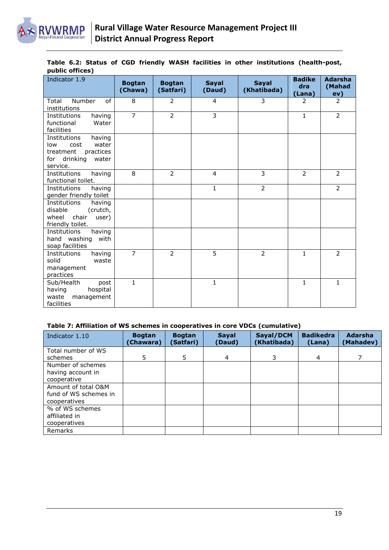

|                 |  |  |  |  |  | Table 6.2: Status of CGD friendly WASH facilities in other institutions (health-post, |
|-----------------|--|--|--|--|--|---------------------------------------------------------------------------------------|
| public offices) |  |  |  |  |  |                                                                                       |

| Indicator 1.9                                                                                                    | <b>Bogtan</b><br>(Chawa) | <b>Bogtan</b><br>(Satfari) | <b>Sayal</b><br>(Daud) | <b>Sayal</b><br>(Khatibada) | <b>Badike</b><br>dra<br>(Lana) | <b>Adarsha</b><br>(Mahad<br>ev) |
|------------------------------------------------------------------------------------------------------------------|--------------------------|----------------------------|------------------------|-----------------------------|--------------------------------|---------------------------------|
| Number<br>Total<br>of<br>institutions                                                                            | 8                        | $\overline{2}$             | $\overline{4}$         | 3                           | 2                              | $\overline{2}$                  |
| Institutions<br>having<br>functional<br>Water<br>facilities                                                      | $\overline{7}$           | $\overline{2}$             | $\overline{3}$         |                             | $\mathbf{1}$                   | $\overline{2}$                  |
| Institutions<br>having<br>low<br>cost<br>water<br>treatment<br>practices<br>drinking<br>for<br>water<br>service. |                          |                            |                        |                             |                                |                                 |
| Institutions<br>having<br>functional toilet.                                                                     | 8                        | $\overline{2}$             | $\overline{4}$         | 3                           | $\overline{2}$                 | 2                               |
| Institutions<br>having<br>gender friendly toilet                                                                 |                          |                            | $\mathbf{1}$           | $\overline{2}$              |                                | $\overline{2}$                  |
| Institutions<br>having<br>disable<br>(crutch,<br>wheel<br>chair<br>user)<br>friendly toilet.                     |                          |                            |                        |                             |                                |                                 |
| Institutions<br>having<br>hand washing<br>with<br>soap facilities                                                |                          |                            |                        |                             |                                |                                 |
| Institutions<br>having<br>solid<br>waste<br>management<br>practices                                              | $\overline{7}$           | $\overline{2}$             | $\overline{5}$         | $\overline{2}$              | $\mathbf{1}$                   | $\overline{2}$                  |
| Sub/Health<br>post<br>hospital<br>having<br>waste<br>management<br>facilities                                    | $\mathbf{1}$             |                            | $\mathbf{1}$           |                             | $\mathbf{1}$                   | $\mathbf{1}$                    |

#### **Table 7: Affiliation of WS schemes in cooperatives in core VDCs (cumulative)**

| Indicator 1.10        | <b>Bogtan</b><br>(Chawara) | <b>Bogtan</b><br>(Satfari) | <b>Sayal</b><br>(Daud) | Sayal/DCM<br>(Khatibada) | <b>Badikedra</b><br>(Lana) | <b>Adarsha</b><br>(Mahadev) |
|-----------------------|----------------------------|----------------------------|------------------------|--------------------------|----------------------------|-----------------------------|
| Total number of WS    |                            |                            |                        |                          |                            |                             |
| schemes               | 5                          | 5.                         | $\overline{4}$         | 3                        | 4                          |                             |
| Number of schemes     |                            |                            |                        |                          |                            |                             |
| having account in     |                            |                            |                        |                          |                            |                             |
| cooperative           |                            |                            |                        |                          |                            |                             |
| Amount of total O&M   |                            |                            |                        |                          |                            |                             |
| fund of WS schemes in |                            |                            |                        |                          |                            |                             |
| cooperatives          |                            |                            |                        |                          |                            |                             |
| % of WS schemes       |                            |                            |                        |                          |                            |                             |
| affiliated in         |                            |                            |                        |                          |                            |                             |
| cooperatives          |                            |                            |                        |                          |                            |                             |
| Remarks               |                            |                            |                        |                          |                            |                             |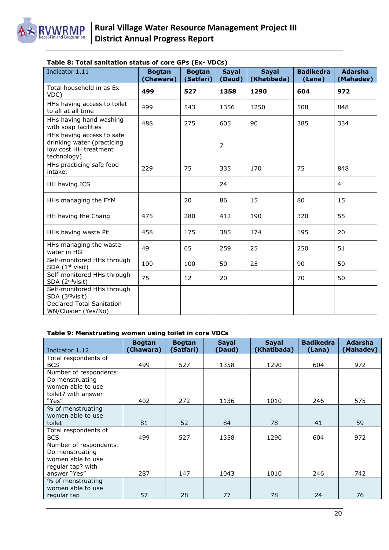| Indicator 1.11                                                                                  | <b>Bogtan</b><br>(Chawara) | <b>Bogtan</b><br>(Satfari) | <b>Sayal</b><br>(Daud) | <b>Sayal</b><br>(Khatibada) | <b>Badikedra</b><br>(Lana) | <b>Adarsha</b><br>(Mahadev) |
|-------------------------------------------------------------------------------------------------|----------------------------|----------------------------|------------------------|-----------------------------|----------------------------|-----------------------------|
| Total household in as Ex<br>VDC)                                                                | 499                        | 527                        | 1358                   | 1290                        | 604                        | 972                         |
| HHs having access to toilet<br>to all at all time                                               | 499                        | 543                        | 1356                   | 1250                        | 508                        | 848                         |
| HHs having hand washing<br>with soap facilities                                                 | 488                        | 275                        | 605                    | 90                          | 385                        | 334                         |
| HHs having access to safe<br>drinking water (practicing<br>low cost HH treatment<br>technology) |                            |                            | $\overline{7}$         |                             |                            |                             |
| HHs practicing safe food<br>intake.                                                             | 229                        | 75                         | 335                    | 170                         | 75                         | 848                         |
| HH having ICS                                                                                   |                            |                            | 24                     |                             |                            | 4                           |
| HHs managing the FYM                                                                            |                            | 20                         | 86                     | 15                          | 80                         | 15                          |
| HH having the Chang                                                                             | 475                        | 280                        | 412                    | 190                         | 320                        | 55                          |
| HHs having waste Pit                                                                            | 458                        | 175                        | 385                    | 174                         | 195                        | 20                          |
| HHs managing the waste<br>water in HG                                                           | 49                         | 65                         | 259                    | 25                          | 250                        | 51                          |
| Self-monitored HHs through<br>SDA (1 <sup>st</sup> visit)                                       | 100                        | 100                        | 50                     | 25                          | 90                         | 50                          |
| Self-monitored HHs through<br>SDA (2 <sup>nd</sup> visit)                                       | 75                         | 12                         | 20                     |                             | 70                         | 50                          |
| Self-monitored HHs through<br>SDA (3rdvisit)                                                    |                            |                            |                        |                             |                            |                             |
| <b>Declared Total Sanitation</b><br>WN/Cluster (Yes/No)                                         |                            |                            |                        |                             |                            |                             |

#### **Table 8: Total sanitation status of core GPs (Ex- VDCs)**

#### **Table 9: Menstruating women using toilet in core VDCs**

| Indicator 1.12         | <b>Bogtan</b><br>(Chawara) | <b>Bogtan</b><br>(Satfari) | <b>Sayal</b><br>Daud) | <b>Sayal</b><br>(Khatibada) | <b>Badikedra</b><br>(Lana) | <b>Adarsha</b><br>(Mahadev) |
|------------------------|----------------------------|----------------------------|-----------------------|-----------------------------|----------------------------|-----------------------------|
| Total respondents of   |                            |                            |                       |                             |                            |                             |
| <b>BCS</b>             | 499                        | 527                        | 1358                  | 1290                        | 604                        | 972                         |
| Number of respondents: |                            |                            |                       |                             |                            |                             |
| Do menstruating        |                            |                            |                       |                             |                            |                             |
| women able to use      |                            |                            |                       |                             |                            |                             |
| toilet? with answer    |                            |                            |                       |                             |                            |                             |
| "Yes"                  | 402                        | 272                        | 1136                  | 1010                        | 246                        | 575                         |
| % of menstruating      |                            |                            |                       |                             |                            |                             |
| women able to use      |                            |                            |                       |                             |                            |                             |
| toilet                 | 81                         | 52                         | 84                    | 78                          | 41                         | 59                          |
| Total respondents of   |                            |                            |                       |                             |                            |                             |
| <b>BCS</b>             | 499                        | 527                        | 1358                  | 1290                        | 604                        | 972                         |
| Number of respondents: |                            |                            |                       |                             |                            |                             |
| Do menstruating        |                            |                            |                       |                             |                            |                             |
| women able to use      |                            |                            |                       |                             |                            |                             |
| regular tap? with      |                            |                            |                       |                             |                            |                             |
| answer "Yes"           | 287                        | 147                        | 1043                  | 1010                        | 246                        | 742                         |
| % of menstruating      |                            |                            |                       |                             |                            |                             |
| women able to use      |                            |                            |                       |                             |                            |                             |
| regular tap            | 57                         | 28                         | 77                    | 78                          | 24                         | 76                          |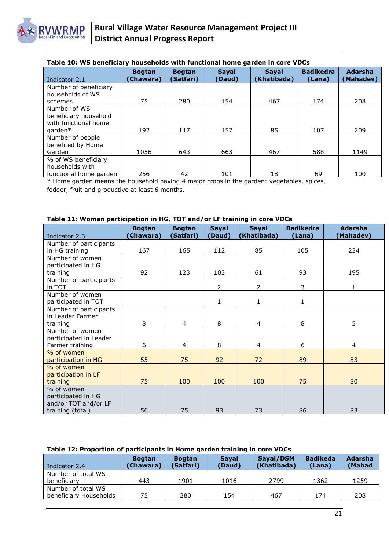

#### **Table 10: WS beneficiary households with functional home garden in core VDCs**

| Indicator 2.1                                                 | <b>Bogtan</b><br>(Chawara) | <b>Bogtan</b><br>(Satfari) | <b>Sayal</b><br>(Daud) | <b>Sayal</b><br>(Khatibada) | <b>Badikedra</b><br>(Lana) | Adarsha<br>(Mahadev) |
|---------------------------------------------------------------|----------------------------|----------------------------|------------------------|-----------------------------|----------------------------|----------------------|
| Number of beneficiary<br>households of WS                     |                            |                            |                        |                             |                            |                      |
| schemes                                                       | 75                         | 280                        | 154                    | 467                         | 174                        | 208                  |
| Number of WS<br>beneficiary household<br>with functional home |                            |                            |                        |                             |                            |                      |
| garden*                                                       | 192                        | 117                        | 157                    | 85                          | 107                        | 209                  |
| Number of people<br>benefited by Home                         |                            |                            |                        |                             |                            |                      |
| Garden                                                        | 1056                       | 643                        | 663                    | 467                         | 588                        | 1149                 |
| % of WS beneficiary<br>households with                        |                            |                            |                        |                             |                            |                      |
| functional home garden                                        | 256                        | 42                         | 101                    | 18                          | 69                         | 100                  |

\* Home garden means the household having 4 major crops in the garden: vegetables, spices, fodder, fruit and productive at least 6 months.

#### **Table 11: Women participation in HG, TOT and/or LF training in core VDCs**

| Indicator 2.3               | <b>Bogtan</b><br>(Chawara) | <b>Bogtan</b><br>(Satfari) | <b>Sayal</b><br>(Daud) | <b>Sayal</b><br>(Khatibada) | <b>Badikedra</b><br>(Lana) | <b>Adarsha</b><br>(Mahadev) |
|-----------------------------|----------------------------|----------------------------|------------------------|-----------------------------|----------------------------|-----------------------------|
| Number of participants      |                            |                            |                        |                             |                            |                             |
| in HG training              | 167                        | 165                        | 112                    | 85                          | 105                        | 234                         |
| Number of women             |                            |                            |                        |                             |                            |                             |
| participated in HG          |                            |                            |                        |                             |                            |                             |
| training                    | 92                         | 123                        | 103                    | 61                          | 93                         | 195                         |
| Number of participants      |                            |                            |                        |                             |                            |                             |
| in TOT                      |                            |                            | $\overline{2}$         | $\overline{2}$              | 3                          | 1                           |
| Number of women             |                            |                            |                        |                             |                            |                             |
| participated in TOT         |                            |                            | 1                      | 1                           | 1                          |                             |
| Number of participants      |                            |                            |                        |                             |                            |                             |
| in Leader Farmer            | 8                          | 4                          | 8                      | 4                           | 8                          | 5                           |
| training<br>Number of women |                            |                            |                        |                             |                            |                             |
| participated in Leader      |                            |                            |                        |                             |                            |                             |
| Farmer training             | 6                          | $\overline{4}$             | 8                      | 4                           | 6                          | 4                           |
| % of women                  |                            |                            |                        |                             |                            |                             |
| participation in HG         | 55                         | 75                         | 92                     | 72                          | 89                         | 83                          |
| % of women                  |                            |                            |                        |                             |                            |                             |
| participation in LF         |                            |                            |                        |                             |                            |                             |
| training                    | 75                         | 100                        | 100                    | 100                         | 75                         | 80                          |
| % of women                  |                            |                            |                        |                             |                            |                             |
| participated in HG          |                            |                            |                        |                             |                            |                             |
| and/or TOT and/or LF        |                            |                            |                        |                             |                            |                             |
| training (total)            | 56                         | 75                         | 93                     | 73                          | 86                         | 83                          |

#### **Table 12: Proportion of participants in Home garden training in core VDCs**

| Indicator 2.4          | <b>Bogtan</b><br>(Chawara) | <b>Bogtan</b><br>(Satfari) | <b>Saval</b><br>(Daud) | Sayal/DSM<br>(Khatibada) | <b>Badikeda</b><br>(Lana) | <b>Adarsha</b><br>(Mahad |
|------------------------|----------------------------|----------------------------|------------------------|--------------------------|---------------------------|--------------------------|
| Number of total WS     |                            |                            |                        |                          |                           |                          |
| beneficiary            | 443                        | 1901                       | 1016                   | 2799                     | 1362                      | 1259                     |
| Number of total WS     |                            |                            |                        |                          |                           |                          |
| beneficiary Households | 75                         | 280                        | 154                    | 467                      | 174                       | 208                      |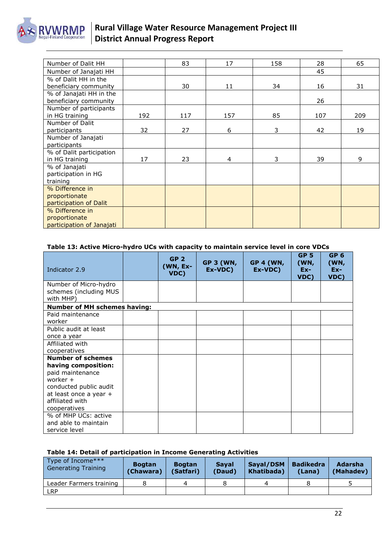

| Number of Dalit HH        |     | 83  | 17  | 158 | 28  | 65  |
|---------------------------|-----|-----|-----|-----|-----|-----|
| Number of Janajati HH     |     |     |     |     | 45  |     |
| % of Dalit HH in the      |     |     |     |     |     |     |
| beneficiary community     |     | 30  | 11  | 34  | 16  | 31  |
| % of Janajati HH in the   |     |     |     |     |     |     |
| beneficiary community     |     |     |     |     | 26  |     |
| Number of participants    |     |     |     |     |     |     |
| in HG training            | 192 | 117 | 157 | 85  | 107 | 209 |
| Number of Dalit           |     |     |     |     |     |     |
| participants              | 32  | 27  | 6   | 3   | 42  | 19  |
| Number of Janajati        |     |     |     |     |     |     |
| participants              |     |     |     |     |     |     |
| % of Dalit participation  |     |     |     |     |     |     |
| in HG training            | 17  | 23  | 4   | 3   | 39  | 9   |
| % of Janajati             |     |     |     |     |     |     |
| participation in HG       |     |     |     |     |     |     |
| training                  |     |     |     |     |     |     |
| % Difference in           |     |     |     |     |     |     |
| proportionate             |     |     |     |     |     |     |
| participation of Dalit    |     |     |     |     |     |     |
| % Difference in           |     |     |     |     |     |     |
| proportionate             |     |     |     |     |     |     |
| participation of Janajati |     |     |     |     |     |     |

#### **Table 13: Active Micro-hydro UCs with capacity to maintain service level in core VDCs**

| Indicator 2.9                                                                                                                                                          | GP <sub>2</sub><br>$(WN, Ex-$<br>VDC) | <b>GP 3 (WN,</b><br>Ex-VDC) | <b>GP 4 (WN,</b><br>Ex-VDC) | GP <sub>5</sub><br>(WN,<br>$Ex-$<br>VDC) | GP <sub>6</sub><br>(WN,<br>$Ex-$<br>VDC) |
|------------------------------------------------------------------------------------------------------------------------------------------------------------------------|---------------------------------------|-----------------------------|-----------------------------|------------------------------------------|------------------------------------------|
| Number of Micro-hydro<br>schemes (including MUS<br>with MHP)                                                                                                           |                                       |                             |                             |                                          |                                          |
| <b>Number of MH schemes having:</b>                                                                                                                                    |                                       |                             |                             |                                          |                                          |
| Paid maintenance<br>worker                                                                                                                                             |                                       |                             |                             |                                          |                                          |
| Public audit at least                                                                                                                                                  |                                       |                             |                             |                                          |                                          |
| once a year                                                                                                                                                            |                                       |                             |                             |                                          |                                          |
| Affiliated with                                                                                                                                                        |                                       |                             |                             |                                          |                                          |
| cooperatives                                                                                                                                                           |                                       |                             |                             |                                          |                                          |
| <b>Number of schemes</b><br>having composition:<br>paid maintenance<br>worker +<br>conducted public audit<br>at least once a year +<br>affiliated with<br>cooperatives |                                       |                             |                             |                                          |                                          |
| % of MHP UCs: active<br>and able to maintain<br>service level                                                                                                          |                                       |                             |                             |                                          |                                          |

#### **Table 14: Detail of participation in Income Generating Activities**

| Type of Income***<br><b>Generating Training</b> | <b>Bogtan</b><br>(Chawara) | <b>Bogtan</b><br>(Satfari) | <b>Saval</b><br>(Daud) | Saval/DSM<br>Khatibada) | <b>Badikedra</b><br>(Lana) | <b>Adarsha</b><br>(Mahadev) |
|-------------------------------------------------|----------------------------|----------------------------|------------------------|-------------------------|----------------------------|-----------------------------|
| Leader Farmers training                         |                            |                            |                        |                         |                            |                             |
| <b>LRP</b>                                      |                            |                            |                        |                         |                            |                             |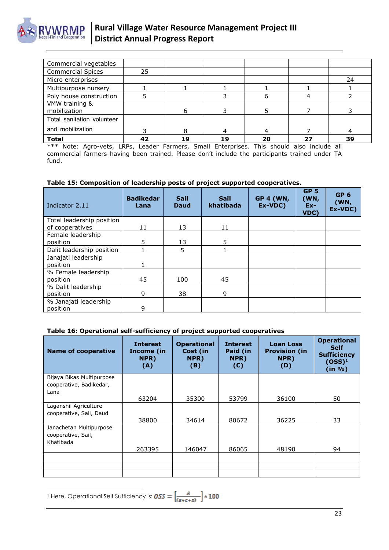

| Commercial vegetables          |    |    |     |    |    |    |
|--------------------------------|----|----|-----|----|----|----|
| <b>Commercial Spices</b>       | 25 |    |     |    |    |    |
| Micro enterprises              |    |    |     |    |    | 24 |
| Multipurpose nursery           |    |    |     |    |    |    |
| Poly house construction        |    |    |     | 6  |    |    |
| VMW training &<br>mobilization |    | 6  |     |    |    |    |
| Total sanitation volunteer     |    |    |     |    |    |    |
| and mobilization               |    | я  |     | 4  |    |    |
| <b>Total</b>                   | 42 | 19 | 1 Q | 20 | 27 | 39 |

\*\*\* Note: Agro-vets, LRPs, Leader Farmers, Small Enterprises. This should also include all commercial farmers having been trained. Please don't include the participants trained under TA fund.

#### **Table 15: Composition of leadership posts of project supported cooperatives.**

| Indicator 2.11                    | <b>Badikedar</b><br>Lana | <b>Sail</b><br><b>Daud</b> | <b>Sail</b><br>khatibada | <b>GP 4 (WN,</b><br>Ex-VDC) | GP <sub>5</sub><br>(WN,<br>$Ex-$<br>VDC) | GP <sub>6</sub><br>(WN,<br>Ex-VDC) |
|-----------------------------------|--------------------------|----------------------------|--------------------------|-----------------------------|------------------------------------------|------------------------------------|
| Total leadership position         |                          |                            |                          |                             |                                          |                                    |
| of cooperatives                   | 11                       | 13                         | 11                       |                             |                                          |                                    |
| Female leadership<br>position     | 5                        | 13                         | 5                        |                             |                                          |                                    |
| Dalit leadership position         |                          | 5                          |                          |                             |                                          |                                    |
| Janajati leadership<br>position   |                          |                            |                          |                             |                                          |                                    |
| % Female leadership<br>position   | 45                       | 100                        | 45                       |                             |                                          |                                    |
| % Dalit leadership<br>position    | 9                        | 38                         | 9                        |                             |                                          |                                    |
| % Janajati leadership<br>position | 9                        |                            |                          |                             |                                          |                                    |

#### **Table 16: Operational self-sufficiency of project supported cooperatives**

| <b>Name of cooperative</b>                           | <b>Interest</b><br>Income (in<br>NPR)<br>(A) | <b>Operational</b><br>Cost (in<br>NPR)<br>(B) | <b>Interest</b><br>Paid (in<br>NPR)<br>(C) | <b>Loan Loss</b><br><b>Provision (in</b><br>NPR)<br>(D) | <b>Operational</b><br><b>Self</b><br><b>Sufficiency</b><br>$(OSS)^1$<br>(in %) |
|------------------------------------------------------|----------------------------------------------|-----------------------------------------------|--------------------------------------------|---------------------------------------------------------|--------------------------------------------------------------------------------|
| Bijaya Bikas Multipurpose<br>cooperative, Badikedar, |                                              |                                               |                                            |                                                         |                                                                                |
| Lana                                                 |                                              |                                               |                                            |                                                         |                                                                                |
|                                                      | 63204                                        | 35300                                         | 53799                                      | 36100                                                   | 50                                                                             |
| Laganshil Agriculture                                |                                              |                                               |                                            |                                                         |                                                                                |
| cooperative, Sail, Daud                              | 38800                                        | 34614                                         | 80672                                      | 36225                                                   | 33                                                                             |
| Janachetan Multipurpose                              |                                              |                                               |                                            |                                                         |                                                                                |
| cooperative, Sail,                                   |                                              |                                               |                                            |                                                         |                                                                                |
| Khatibada                                            |                                              |                                               |                                            |                                                         |                                                                                |
|                                                      | 263395                                       | 146047                                        | 86065                                      | 48190                                                   | 94                                                                             |
|                                                      |                                              |                                               |                                            |                                                         |                                                                                |
|                                                      |                                              |                                               |                                            |                                                         |                                                                                |
|                                                      |                                              |                                               |                                            |                                                         |                                                                                |

 $\overline{a}$ <sup>1</sup> Here, Operational Self Sufficiency is: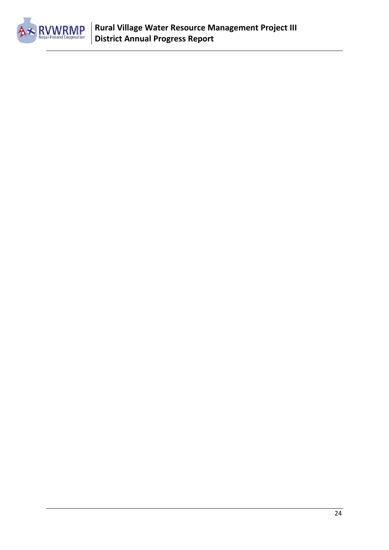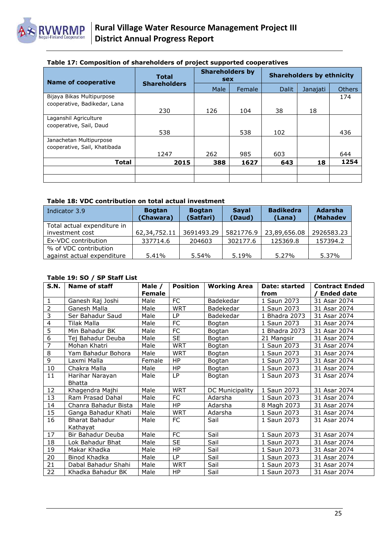| <b>Name of cooperative</b>   | <b>Total</b><br><b>Shareholders</b> | <b>Shareholders by</b><br><b>sex</b> |        | <b>Shareholders by ethnicity</b> |          |               |
|------------------------------|-------------------------------------|--------------------------------------|--------|----------------------------------|----------|---------------|
|                              |                                     | Male                                 | Female | <b>Dalit</b>                     | Janajati | <b>Others</b> |
| Bijaya Bikas Multipurpose    |                                     |                                      |        |                                  |          | 174           |
| cooperative, Badikedar, Lana |                                     |                                      |        |                                  |          |               |
|                              | 230                                 | 126                                  | 104    | 38                               | 18       |               |
| Laganshil Agriculture        |                                     |                                      |        |                                  |          |               |
| cooperative, Sail, Daud      |                                     |                                      |        |                                  |          |               |
|                              | 538                                 |                                      | 538    | 102                              |          | 436           |
| Janachetan Multipurpose      |                                     |                                      |        |                                  |          |               |
| cooperative, Sail, Khatibada |                                     |                                      |        |                                  |          |               |
|                              | 1247                                | 262                                  | 985    | 603                              |          | 644           |
| <b>Total</b>                 | 2015                                | 388                                  | 1627   | 643                              | 18       | 1254          |
|                              |                                     |                                      |        |                                  |          |               |
|                              |                                     |                                      |        |                                  |          |               |

#### **Table 18: VDC contribution on total actual investment**

| Indicator 3.9               | <b>Bogtan</b><br>(Chawara) | <b>Bogtan</b><br>(Satfari) | <b>Saval</b><br>(Daud) | <b>Badikedra</b><br>(Lana) | <b>Adarsha</b><br>(Mahadev |
|-----------------------------|----------------------------|----------------------------|------------------------|----------------------------|----------------------------|
| Total actual expenditure in |                            |                            |                        |                            |                            |
| investment cost             | 62,34,752.11               | 3691493.29                 | 5821776.9              | 23,89,656.08               | 2926583.23                 |
| Ex-VDC contribution         | 337714.6                   | 204603                     | 302177.6               | 125369.8                   | 157394.2                   |
| % of VDC contribution       |                            |                            |                        |                            |                            |
| against actual expenditure  | 5.41%                      | 5.54%                      | 5.19%                  | 5.27%                      | 5.37%                      |

#### **Table 19: SO / SP Staff List**

| <b>S.N.</b>    | Name of staff         | Male /        | <b>Position</b> | <b>Working Area</b> | Date: started | <b>Contract Ended</b> |
|----------------|-----------------------|---------------|-----------------|---------------------|---------------|-----------------------|
|                |                       | <b>Female</b> |                 |                     | from          | <b>Ended date</b>     |
| 1              | Ganesh Raj Joshi      | Male          | FC              | Badekedar           | 1 Saun 2073   | 31 Asar 2074          |
| $\overline{2}$ | Ganesh Malla          | Male          | <b>WRT</b>      | Badekedar           | 1 Saun 2073   | 31 Asar 2074          |
| 3              | Ser Bahadur Saud      | Male          | LP              | Badekedar           | 1 Bhadra 2073 | 31 Asar 2074          |
| $\overline{4}$ | <b>Tilak Malla</b>    | Male          | <b>FC</b>       | Bogtan              | 1 Saun 2073   | 31 Asar 2074          |
| $\overline{5}$ | Min Bahadur BK        | Male          | <b>FC</b>       | Bogtan              | 1 Bhadra 2073 | 31 Asar 2074          |
| $\overline{6}$ | Tej Bahadur Deuba     | Male          | <b>SE</b>       | Bogtan              | 21 Mangsir    | 31 Asar 2074          |
| $\overline{7}$ | Mohan Khatri          | Male          | <b>WRT</b>      | Bogtan              | 1 Saun 2073   | 31 Asar 2074          |
| $\,8\,$        | Yam Bahadur Bohora    | Male          | WRT             | Bogtan              | 1 Saun 2073   | 31 Asar 2074          |
| 9              | Laxmi Malla           | Female        | HP              | Bogtan              | 1 Saun 2073   | 31 Asar 2074          |
| 10             | Chakra Malla          | Male          | HP              | Bogtan              | 1 Saun 2073   | 31 Asar 2074          |
| 11             | Harihar Narayan       | Male          | LP              | Bogtan              | 1 Saun 2073   | 31 Asar 2074          |
|                | <b>Bhatta</b>         |               |                 |                     |               |                       |
| 12             | Khagendra Majhi       | Male          | <b>WRT</b>      | DC Municipality     | 1 Saun 2073   | 31 Asar 2074          |
| 13             | Ram Prasad Dahal      | Male          | FC              | Adarsha             | 1 Saun 2073   | 31 Asar 2074          |
| 14             | Chanra Bahadur Bista  | Male          | HP              | Adarsha             | 8 Magh 2073   | 31 Asar 2074          |
| 15             | Ganga Bahadur Khati   | Male          | <b>WRT</b>      | Adarsha             | 1 Saun 2073   | 31 Asar 2074          |
| 16             | <b>Bharat Bahadur</b> | Male          | FC              | Sail                | 1 Saun 2073   | 31 Asar 2074          |
|                | Kathayat              |               |                 |                     |               |                       |
| 17             | Bir Bahadur Deuba     | Male          | FC              | Sail                | 1 Saun 2073   | 31 Asar 2074          |
| 18             | Lok Bahadur Bhat      | Male          | <b>SE</b>       | Sail                | 1 Saun 2073   | 31 Asar 2074          |
| 19             | Makar Khadka          | Male          | HP              | Sail                | 1 Saun 2073   | 31 Asar 2074          |
| 20             | Binod Khadka          | Male          | <b>LP</b>       | Sail                | 1 Saun 2073   | 31 Asar 2074          |
| 21             | Dabal Bahadur Shahi   | Male          | <b>WRT</b>      | Sail                | 1 Saun 2073   | 31 Asar 2074          |
| 22             | Khadka Bahadur BK     | Male          | HP              | Sail                | 1 Saun 2073   | 31 Asar 2074          |